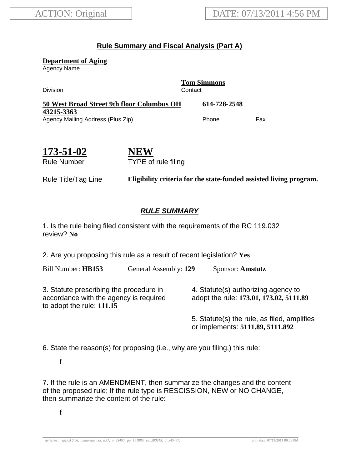## **Rule Summary and Fiscal Analysis (Part A)**

**Department of Aging**

Agency Name

**Tom Simmons** Division Contact **50 West Broad Street 9th floor Columbus OH 43215-3363 614-728-2548** Agency Mailing Address (Plus Zip) example and the Phone Fax

**173-51-02** Rule Number

**NEW** TYPE of rule filing

Rule Title/Tag Line **Eligibility criteria for the state-funded assisted living program.**

## **RULE SUMMARY**

1. Is the rule being filed consistent with the requirements of the RC 119.032 review? **No**

2. Are you proposing this rule as a result of recent legislation? **Yes**

Bill Number: **HB153** General Assembly: **129** Sponsor: **Amstutz**

3. Statute prescribing the procedure in accordance with the agency is required to adopt the rule: **111.15**

4. Statute(s) authorizing agency to adopt the rule: **173.01, 173.02, 5111.89**

5. Statute(s) the rule, as filed, amplifies or implements: **5111.89, 5111.892**

6. State the reason(s) for proposing (i.e., why are you filing,) this rule:

f

7. If the rule is an AMENDMENT, then summarize the changes and the content of the proposed rule; If the rule type is RESCISSION, NEW or NO CHANGE, then summarize the content of the rule:

f

[ *stylesheet: rsfa.xsl 2.06, authoring tool: EZ1, p: 83460, pa: 141889, ra: 280915, d: 345487)*] print date: 07/13/2011 09:03 PM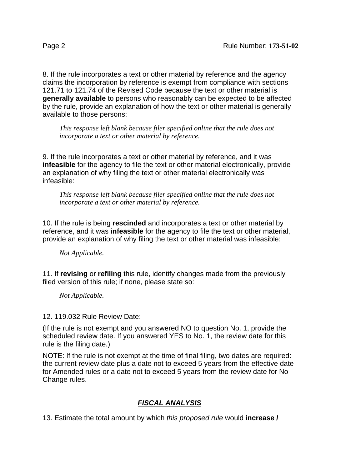8. If the rule incorporates a text or other material by reference and the agency claims the incorporation by reference is exempt from compliance with sections 121.71 to 121.74 of the Revised Code because the text or other material is **generally available** to persons who reasonably can be expected to be affected by the rule, provide an explanation of how the text or other material is generally available to those persons:

*This response left blank because filer specified online that the rule does not incorporate a text or other material by reference.*

9. If the rule incorporates a text or other material by reference, and it was **infeasible** for the agency to file the text or other material electronically, provide an explanation of why filing the text or other material electronically was infeasible:

*This response left blank because filer specified online that the rule does not incorporate a text or other material by reference.*

10. If the rule is being **rescinded** and incorporates a text or other material by reference, and it was **infeasible** for the agency to file the text or other material, provide an explanation of why filing the text or other material was infeasible:

*Not Applicable.*

11. If **revising** or **refiling** this rule, identify changes made from the previously filed version of this rule; if none, please state so:

*Not Applicable.*

12. 119.032 Rule Review Date:

(If the rule is not exempt and you answered NO to question No. 1, provide the scheduled review date. If you answered YES to No. 1, the review date for this rule is the filing date.)

NOTE: If the rule is not exempt at the time of final filing, two dates are required: the current review date plus a date not to exceed 5 years from the effective date for Amended rules or a date not to exceed 5 years from the review date for No Change rules.

## **FISCAL ANALYSIS**

13. Estimate the total amount by which this proposed rule would **increase /**